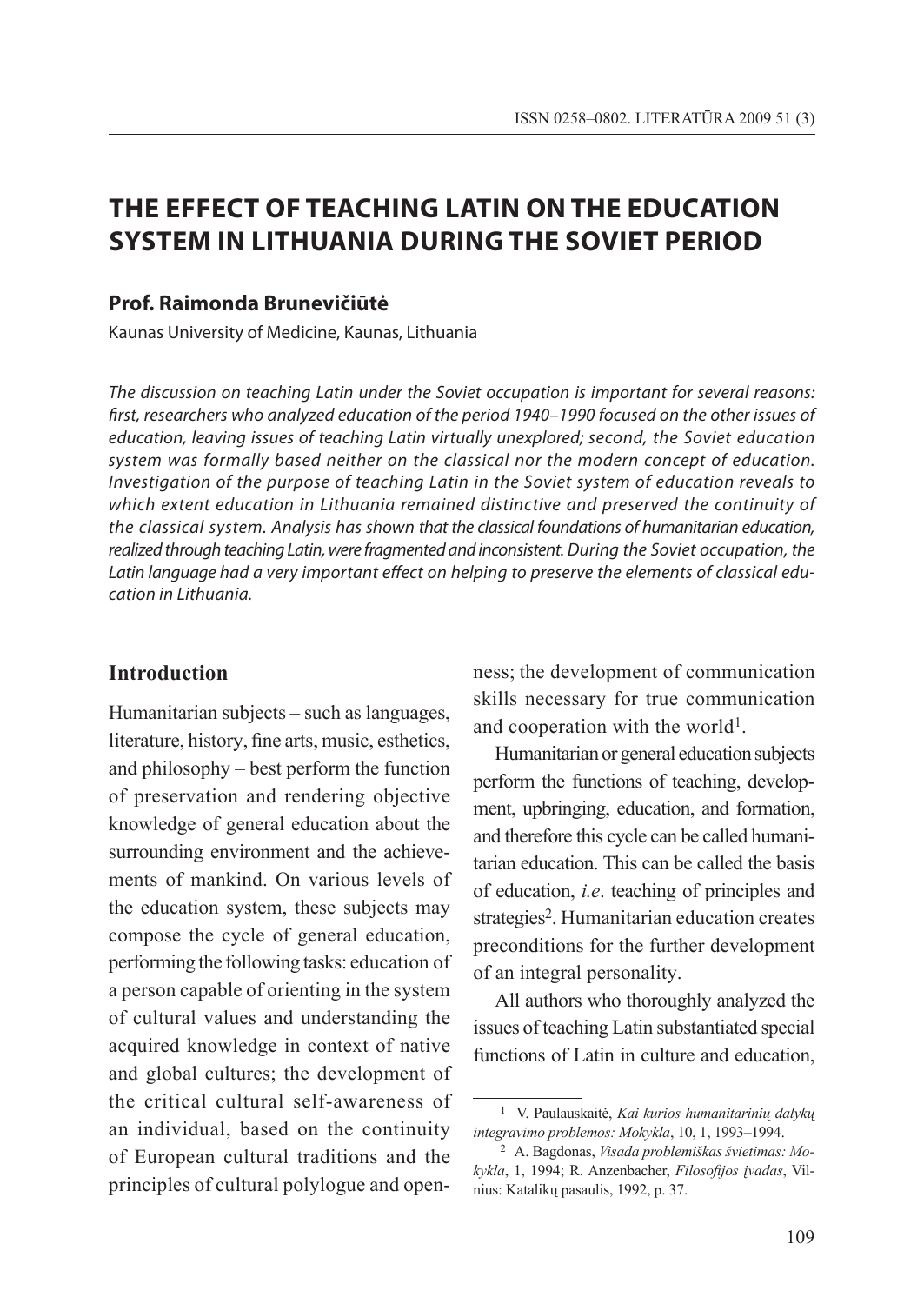# **THE EFFECT OF TEACHING LATIN ON THE EDUCATION SYSTEM IN LITHUANIA DURING THE SOVIET PERIOD**

### **Prof. Raimonda Brunevičiūtė**

Kaunas University of Medicine, Kaunas, Lithuania

*The discussion on teaching Latin under the Soviet occupation is important for several reasons: first, researchers who analyzed education of the period 1940–1990 focused on the other issues of education, leaving issues of teaching Latin virtually unexplored; second, the Soviet education system was formally based neither on the classical nor the modern concept of education. Investigation of the purpose of teaching Latin in the Soviet system of education reveals to which extent education in Lithuania remained distinctive and preserved the continuity of the classical system. Analysis has shown that the classical foundations of humanitarian education, realized through teaching Latin, were fragmented and inconsistent. During the Soviet occupation, the Latin language had a very important effect on helping to preserve the elements of classical education in Lithuania.*

### **Introduction**

Humanitarian subjects – such as languages, literature, history, fine arts, music, esthetics, and philosophy – best perform the function of preservation and rendering objective knowledge of general education about the surrounding environment and the achievements of mankind. On various levels of the education system, these subjects may compose the cycle of general education, performing the following tasks: education of a person capable of orienting in the system of cultural values and understanding the acquired knowledge in context of native and global cultures; the development of the critical cultural self-awareness of an individual, based on the continuity of European cultural traditions and the principles of cultural polylogue and openness; the development of communication skills necessary for true communication and cooperation with the world<sup>1</sup>.

Humanitarian or general education subjects perform the functions of teaching, development, upbringing, education, and formation, and therefore this cycle can be called humanitarian education. This can be called the basis of education, *i.e*. teaching of principles and strategies<sup>2</sup>. Humanitarian education creates preconditions for the further development of an integral personality.

All authors who thoroughly analyzed the issues of teaching Latin substantiated special functions of Latin in culture and education,

<sup>1</sup> V. Paulauskaitė, *Kai kurios humanitarinių dalykų integravimo problemos: Mokykla*, 10, 1, 1993–1994.

<sup>2</sup> A. Bagdonas, *Visada problemiškas švietimas: Mokykla*, 1, 1994; R. Anzenbacher, *Filosofijos įvadas*, Vilnius: Katalikų pasaulis, 1992, p. 37.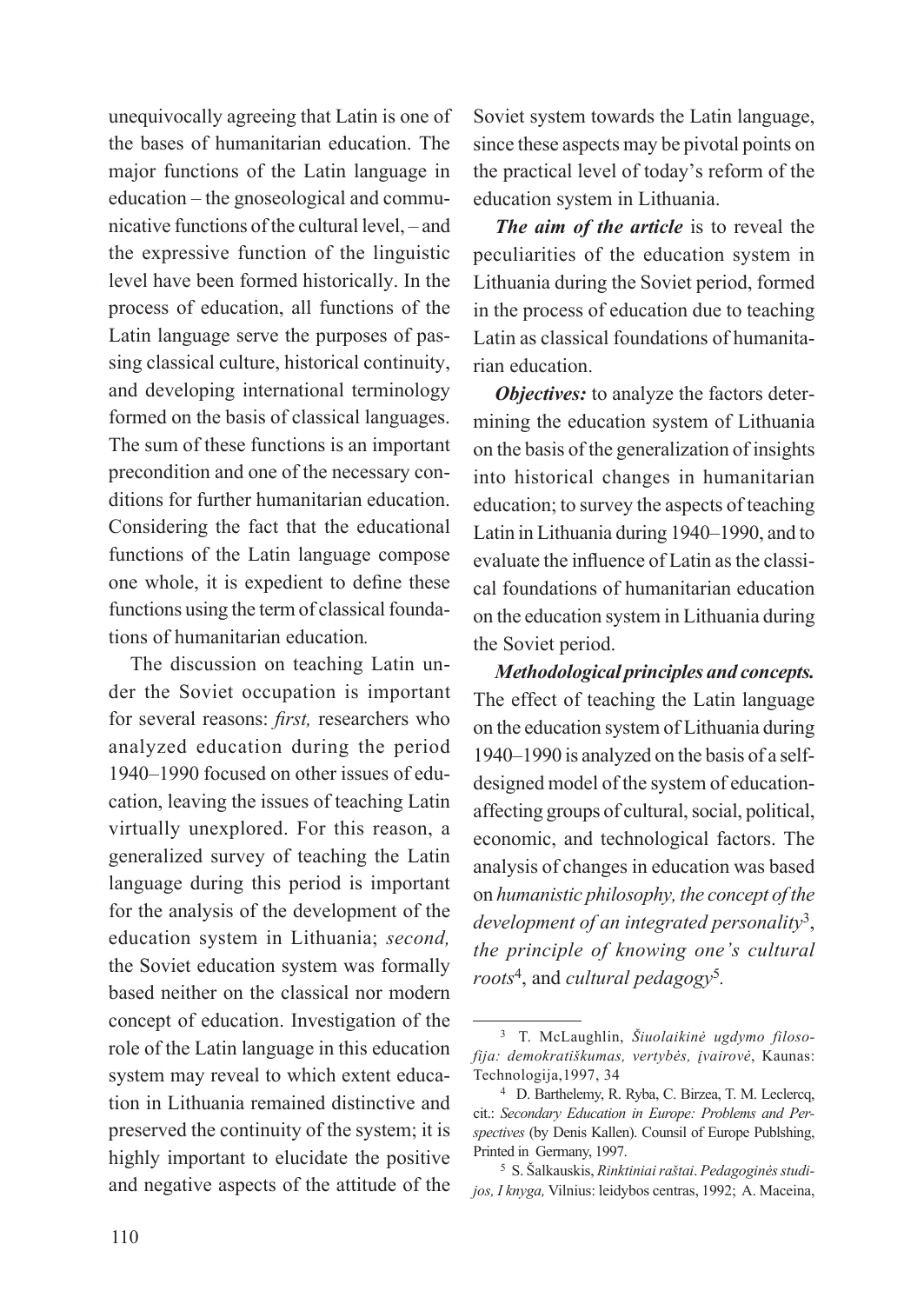unequivocally agreeing that Latin is one of the bases of humanitarian education. The major functions of the Latin language in education – the gnoseological and communicative functions of the cultural level, – and the expressive function of the linguistic level have been formed historically. In the process of education, all functions of the Latin language serve the purposes of passing classical culture, historical continuity, and developing international terminology formed on the basis of classical languages. The sum of these functions is an important precondition and one of the necessary conditions for further humanitarian education. Considering the fact that the educational functions of the Latin language compose one whole, it is expedient to define these functions using the term of classical foundations of humanitarian education*.*

The discussion on teaching Latin under the Soviet occupation is important for several reasons: *first,* researchers who analyzed education during the period 1940–1990 focused on other issues of education, leaving the issues of teaching Latin virtually unexplored. For this reason, a generalized survey of teaching the Latin language during this period is important for the analysis of the development of the education system in Lithuania; *second,*  the Soviet education system was formally based neither on the classical nor modern concept of education. Investigation of the role of the Latin language in this education system may reveal to which extent education in Lithuania remained distinctive and preserved the continuity of the system; it is highly important to elucidate the positive and negative aspects of the attitude of the Soviet system towards the Latin language, since these aspects may be pivotal points on the practical level of today's reform of the education system in Lithuania.

*The aim of the article* is to reveal the peculiarities of the education system in Lithuania during the Soviet period, formed in the process of education due to teaching Latin as classical foundations of humanitarian education.

*Objectives:* to analyze the factors determining the education system of Lithuania on the basis of the generalization of insights into historical changes in humanitarian education; to survey the aspects of teaching Latin in Lithuania during 1940–1990, and to evaluate the influence of Latin as the classical foundations of humanitarian education on the education system in Lithuania during the Soviet period.

*Methodological principles and concepts.* The effect of teaching the Latin language on the education system of Lithuania during 1940–1990 is analyzed on the basis of a selfdesigned model of the system of educationaffecting groups of cultural, social, political, economic, and technological factors. The analysis of changes in education was based on *humanistic philosophy, the concept of the development of an integrated personality*3, *the principle of knowing one's cultural roots*4, and *cultural pedagogy*5*.* 

<sup>3</sup> T. McLaughlin, *Šiuolaikinė ugdymo filosofija: demokratiškumas, vertybės, įvairovė*, Kaunas: Technologija,1997, 34

<sup>4</sup> D. Barthelemy, R. Ryba, C. Birzea, T. M. Leclercq, cit.: *Secondary Education in Europe: Problems and Perspectives* (by Denis Kallen). Counsil of Europe Publshing, Printed in Germany, 1997.

<sup>5</sup> S. Šalkauskis, *Rinktiniai raštai*. *Pedagoginės studijos, I knyga,* Vilnius: leidybos centras, 1992; A. Maceina,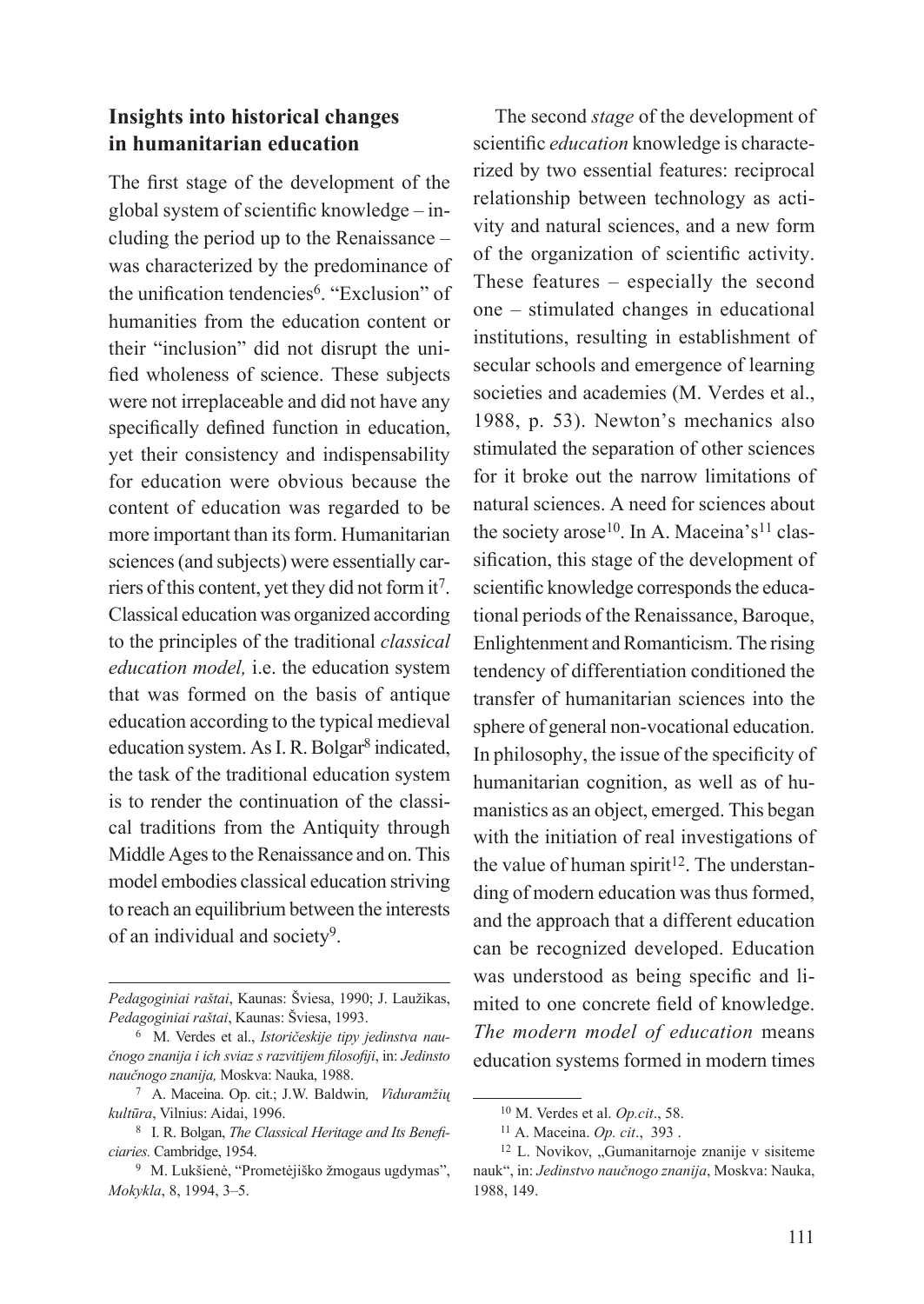## **Insights into historical changes in humanitarian education**

The first stage of the development of the global system of scientific knowledge – including the period up to the Renaissance – was characterized by the predominance of the unification tendencies6. "Exclusion" of humanities from the education content or their "inclusion" did not disrupt the unified wholeness of science. These subjects were not irreplaceable and did not have any specifically defined function in education, yet their consistency and indispensability for education were obvious because the content of education was regarded to be more important than its form. Humanitarian sciences (and subjects) were essentially carriers of this content, yet they did not form it7. Classical education was organized according to the principles of the traditional *classical education model,* i.e. the education system that was formed on the basis of antique education according to the typical medieval education system. As I. R. Bolgar<sup>8</sup> indicated, the task of the traditional education system is to render the continuation of the classical traditions from the Antiquity through Middle Ages to the Renaissance and on. This model embodies classical education striving to reach an equilibrium between the interests of an individual and society9.

The second *stage* of the development of scientific *education* knowledge is characterized by two essential features: reciprocal relationship between technology as activity and natural sciences, and a new form of the organization of scientific activity. These features – especially the second one – stimulated changes in educational institutions, resulting in establishment of secular schools and emergence of learning societies and academies (M. Verdes et al., 1988, p. 53). Newton's mechanics also stimulated the separation of other sciences for it broke out the narrow limitations of natural sciences. A need for sciences about the society arose<sup>10</sup>. In A. Maceina's<sup>11</sup> classification, this stage of the development of scientific knowledge corresponds the educational periods of the Renaissance, Baroque, Enlightenment and Romanticism. The rising tendency of differentiation conditioned the transfer of humanitarian sciences into the sphere of general non-vocational education. In philosophy, the issue of the specificity of humanitarian cognition, as well as of humanistics as an object, emerged. This began with the initiation of real investigations of the value of human spirit<sup>12</sup>. The understanding of modern education was thus formed, and the approach that a different education can be recognized developed. Education was understood as being specific and limited to one concrete field of knowledge. *The modern model of education* means education systems formed in modern times

*Pedagoginiai raštai*, Kaunas: Šviesa, 1990; J. Laužikas, *Pedagoginiai raštai*, Kaunas: Šviesa, 1993.

<sup>6</sup> M. Verdes et al., *Istoričeskije tipy jedinstva naučnogo znanija i ich sviaz s razvitijem filosofiji*, in: *Jedinsto naučnogo znanija,* Moskva: Nauka, 1988.

<sup>7</sup> A. Maceina. Op. cit.; J.W. Baldwin*, Viduramžių kultūra*, Vilnius: Aidai, 1996.

<sup>8</sup> I. R. Bolgan, *The Classical Heritage and Its Beneficiaries.* Cambridge, 1954.

<sup>9</sup> M. Lukšienė, "Prometėjiško žmogaus ugdymas", *Mokykla*, 8, 1994, 3–5.

<sup>10</sup> M. Verdes et al. *Op.cit*., 58.

<sup>11</sup> A. Maceina. *Op. cit*., 393 .

<sup>&</sup>lt;sup>12</sup> L. Novikov, "Gumanitarnoje znanije v sisiteme nauk", in: *Jedinstvo naučnogo znanija*, Moskva: Nauka, 1988, 149.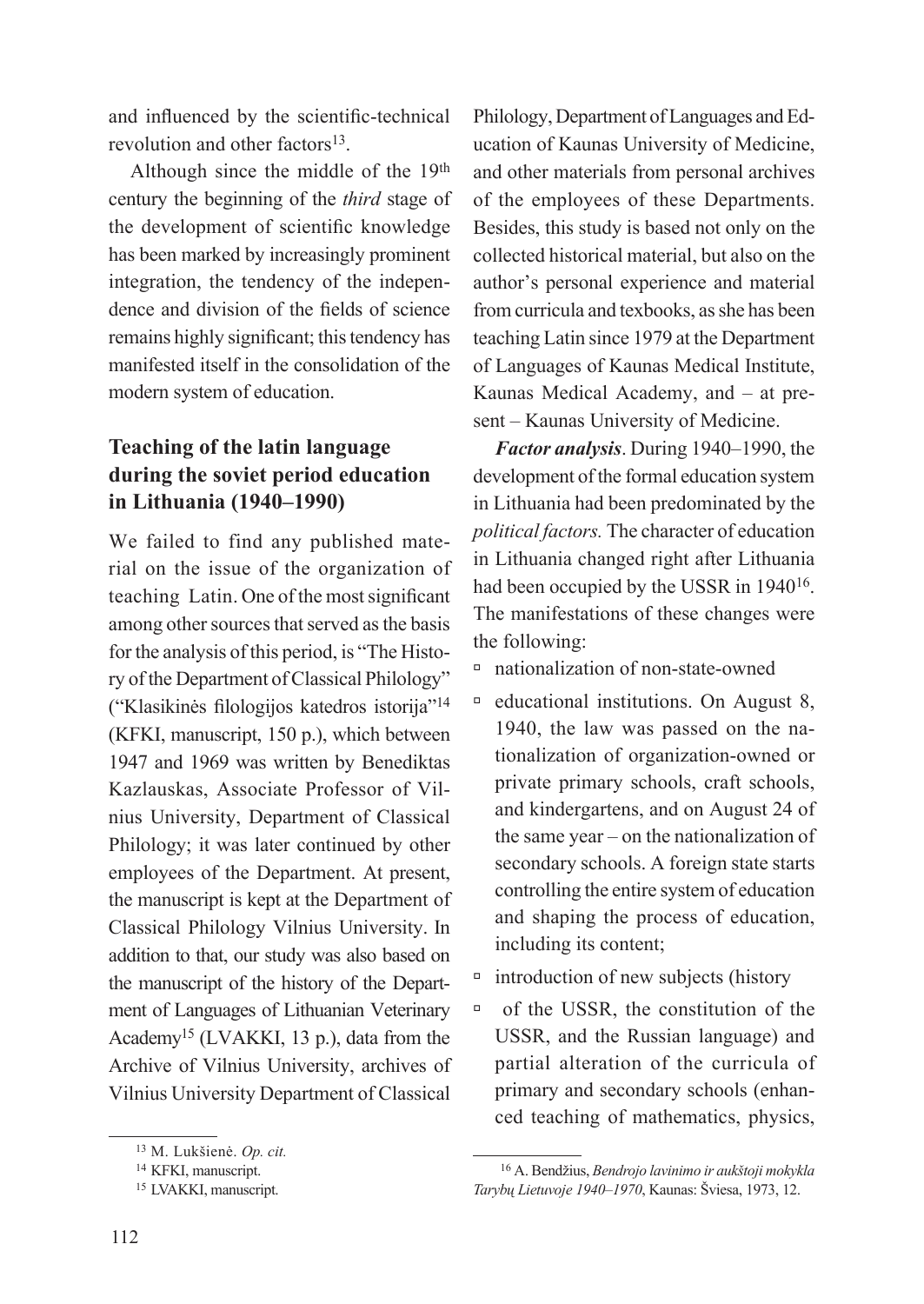and influenced by the scientific-technical revolution and other factors<sup>13</sup>.

Although since the middle of the 19th century the beginning of the *third* stage of the development of scientific knowledge has been marked by increasingly prominent integration, the tendency of the independence and division of the fields of science remains highly significant; this tendency has manifested itself in the consolidation of the modern system of education.

# **Teaching of the latin language during the soviet period education in Lithuania (1940–1990)**

We failed to find any published material on the issue of the organization of teaching Latin. One of the most significant among other sources that served as the basis for the analysis of this period, is "The History of the Department of Classical Philology" ("Klasikinės filologijos katedros istorija"14 (KFKI, manuscript, 150 p.), which between 1947 and 1969 was written by Benediktas Kazlauskas, Associate Professor of Vilnius University, Department of Classical Philology; it was later continued by other employees of the Department. At present, the manuscript is kept at the Department of Classical Philology Vilnius University. In addition to that, our study was also based on the manuscript of the history of the Department of Languages of Lithuanian Veterinary Academy<sup>15</sup> (LVAKKI, 13 p.), data from the Archive of Vilnius University, archives of Vilnius University Department of Classical

Philology, Department of Languages and Education of Kaunas University of Medicine, and other materials from personal archives of the employees of these Departments. Besides, this study is based not only on the collected historical material, but also on the author's personal experience and material from curricula and texbooks, as she has been teaching Latin since 1979 at the Department of Languages of Kaunas Medical Institute, Kaunas Medical Academy, and – at present – Kaunas University of Medicine.

*Factor analysis*. During 1940–1990, the development of the formal education system in Lithuania had been predominated by the *political factors.* The character of education in Lithuania changed right after Lithuania had been occupied by the USSR in 194016. The manifestations of these changes were the following:

- à nationalization of non-state-owned
- $\overline{a}$  educational institutions. On August 8, 1940, the law was passed on the nationalization of organization-owned or private primary schools, craft schools, and kindergartens, and on August 24 of the same year – on the nationalization of secondary schools. A foreign state starts controlling the entire system of education and shaping the process of education, including its content;
- $\overline{\phantom{a}}$  introduction of new subjects (history
- à of the USSR, the constitution of the USSR, and the Russian language) and partial alteration of the curricula of primary and secondary schools (enhanced teaching of mathematics, physics,

<sup>13</sup> M. Lukšienė. *Op. cit.*

<sup>14</sup> KFKI, manuscript.

<sup>15</sup> LVAKKI, manuscript.

<sup>16</sup> A. Bendžius, *Bendrojo lavinimo ir aukštoji mokykla Tarybų Lietuvoje 1940–1970*, Kaunas: Šviesa, 1973, 12.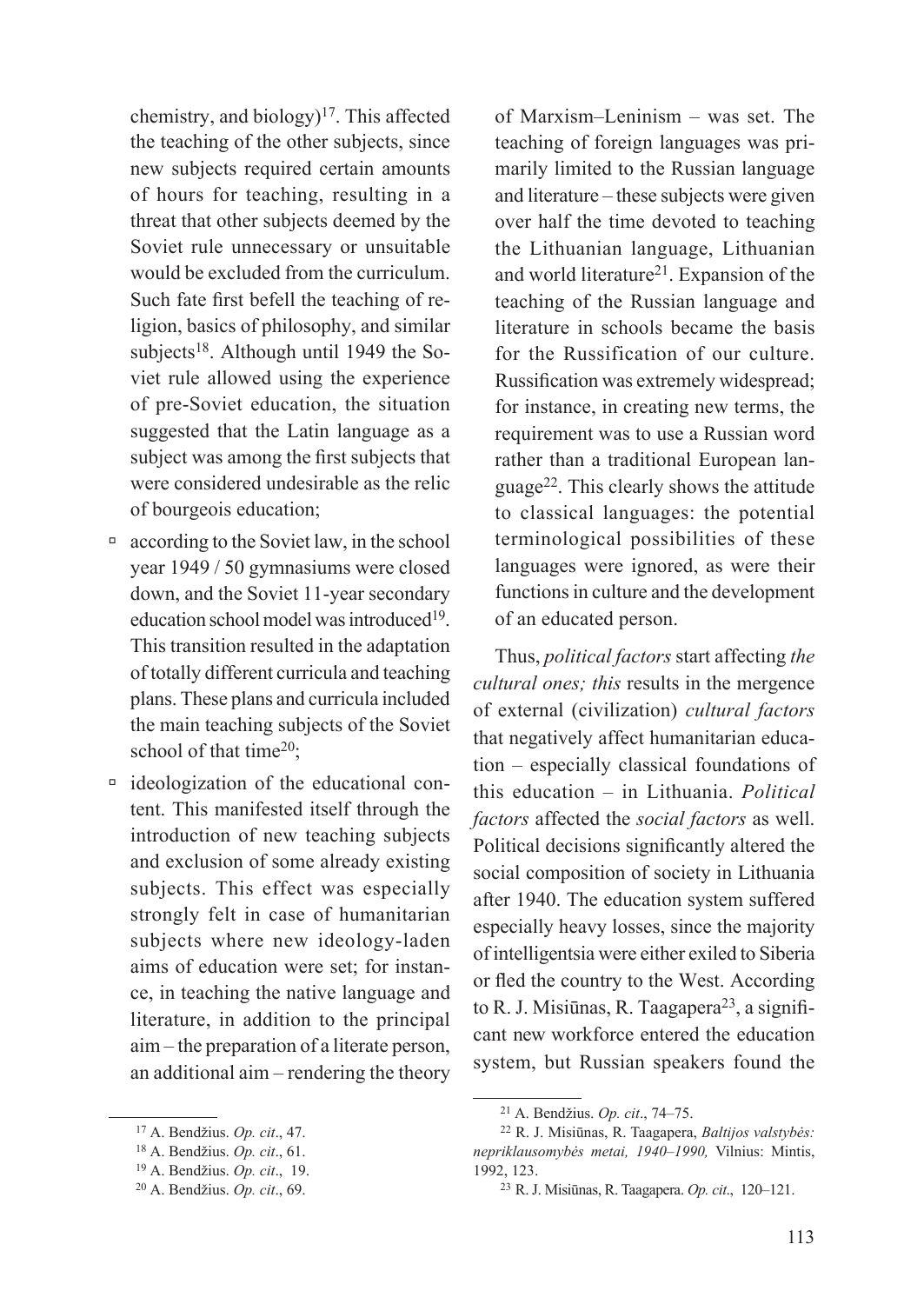chemistry, and biology)<sup>17</sup>. This affected the teaching of the other subjects, since new subjects required certain amounts of hours for teaching, resulting in a threat that other subjects deemed by the Soviet rule unnecessary or unsuitable would be excluded from the curriculum. Such fate first befell the teaching of religion, basics of philosophy, and similar subjects<sup>18</sup>. Although until 1949 the Soviet rule allowed using the experience of pre-Soviet education, the situation suggested that the Latin language as a subject was among the first subjects that were considered undesirable as the relic of bourgeois education;

- $\Box$  according to the Soviet law, in the school year 1949 / 50 gymnasiums were closed down, and the Soviet 11-year secondary education school model was introduced<sup>19</sup>. This transition resulted in the adaptation of totally different curricula and teaching plans. These plans and curricula included the main teaching subjects of the Soviet school of that time<sup>20</sup>:
- à ideologization of the educational content. This manifested itself through the introduction of new teaching subjects and exclusion of some already existing subjects. This effect was especially strongly felt in case of humanitarian subjects where new ideology-laden aims of education were set; for instance, in teaching the native language and literature, in addition to the principal aim – the preparation of a literate person, an additional aim – rendering the theory

of Marxism–Leninism – was set. The teaching of foreign languages was primarily limited to the Russian language and literature – these subjects were given over half the time devoted to teaching the Lithuanian language, Lithuanian and world literature<sup>21</sup>. Expansion of the teaching of the Russian language and literature in schools became the basis for the Russification of our culture. Russification was extremely widespread; for instance, in creating new terms, the requirement was to use a Russian word rather than a traditional European language22. This clearly shows the attitude to classical languages: the potential terminological possibilities of these languages were ignored, as were their functions in culture and the development of an educated person.

Thus, *political factors* start affecting *the cultural ones; this* results in the mergence of external (civilization) *cultural factors*  that negatively affect humanitarian education – especially classical foundations of this education – in Lithuania. *Political factors* affected the *social factors* as well. Political decisions significantly altered the social composition of society in Lithuania after 1940. The education system suffered especially heavy losses, since the majority of intelligentsia were either exiled to Siberia or fled the country to the West. According to R. J. Misiūnas, R. Taagapera<sup>23</sup>, a significant new workforce entered the education system, but Russian speakers found the

<sup>17</sup> A. Bendžius. *Op. cit*., 47.

<sup>18</sup> A. Bendžius. *Op. cit*., 61.

<sup>19</sup> A. Bendžius. *Op. cit*., 19.

<sup>20</sup> A. Bendžius. *Op. cit*., 69.

<sup>21</sup> A. Bendžius. *Op. cit*., 74–75.

<sup>22</sup> R. J. Misiūnas, R. Taagapera, *Baltijos valstybės: nepriklausomybės metai, 1940–1990,* Vilnius: Mintis, 1992, 123.

<sup>23</sup> R. J. Misiūnas, R. Taagapera. *Op. cit*., 120–121.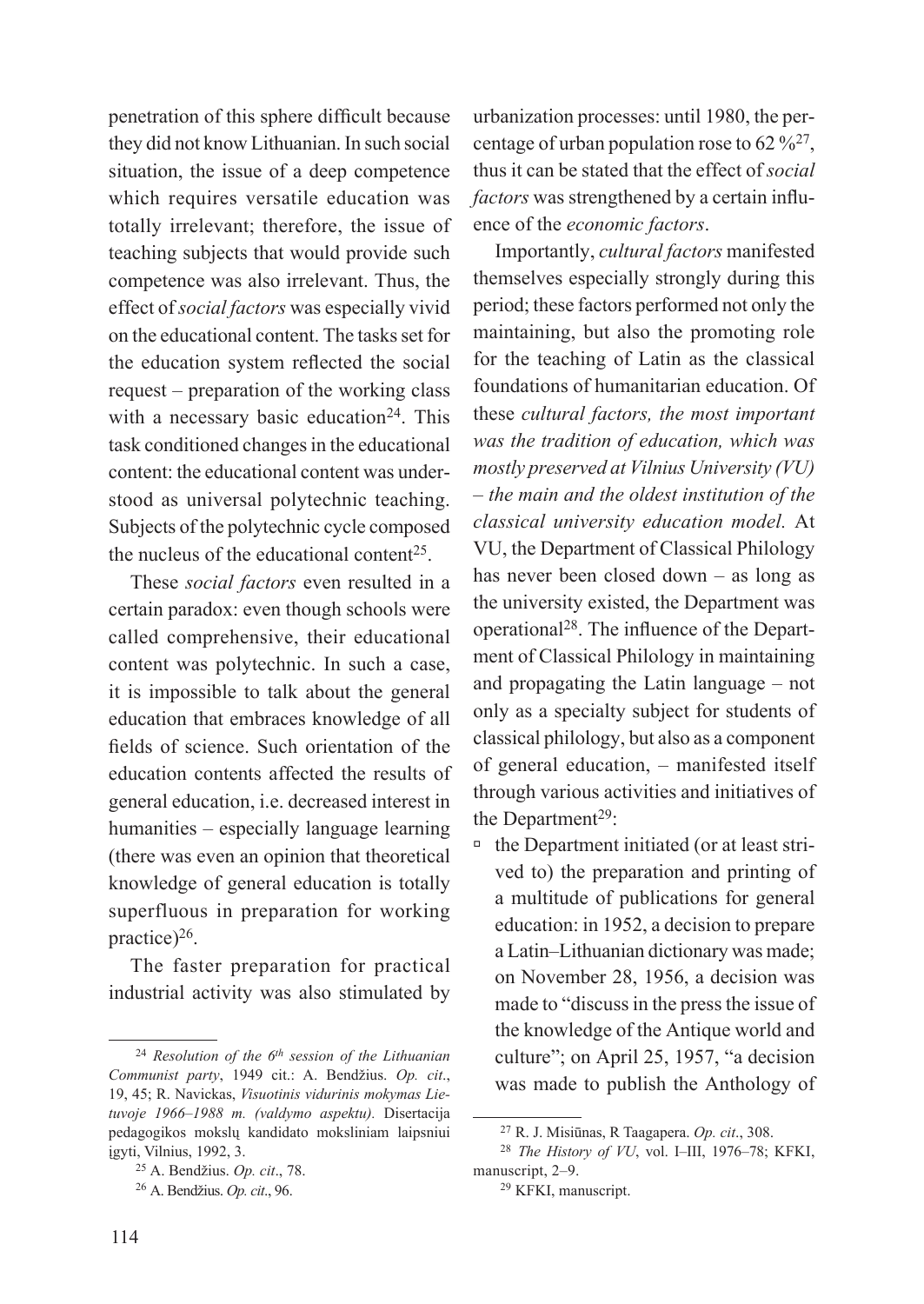penetration of this sphere difficult because they did not know Lithuanian. In such social situation, the issue of a deep competence which requires versatile education was totally irrelevant; therefore, the issue of teaching subjects that would provide such competence was also irrelevant. Thus, the effect of *social factors* was especially vivid on the educational content. The tasks set for the education system reflected the social request – preparation of the working class with a necessary basic education<sup>24</sup>. This task conditioned changes in the educational content: the educational content was understood as universal polytechnic teaching. Subjects of the polytechnic cycle composed the nucleus of the educational content<sup>25</sup>.

These *social factors* even resulted in a certain paradox: even though schools were called comprehensive, their educational content was polytechnic. In such a case, it is impossible to talk about the general education that embraces knowledge of all fields of science. Such orientation of the education contents affected the results of general education, i.e. decreased interest in humanities – especially language learning (there was even an opinion that theoretical knowledge of general education is totally superfluous in preparation for working practice)<sup>26</sup>.

The faster preparation for practical industrial activity was also stimulated by

urbanization processes: until 1980, the percentage of urban population rose to  $62\frac{9}{627}$ , thus it can be stated that the effect of *social factors* was strengthened by a certain influence of the *economic factors*.

Importantly, *cultural factors* manifested themselves especially strongly during this period; these factors performed not only the maintaining, but also the promoting role for the teaching of Latin as the classical foundations of humanitarian education. Of these *cultural factors, the most important was the tradition of education, which was mostly preserved at Vilnius University (VU) – the main and the oldest institution of the classical university education model.* At VU, the Department of Classical Philology has never been closed down – as long as the university existed, the Department was operational28. The influence of the Department of Classical Philology in maintaining and propagating the Latin language – not only as a specialty subject for students of classical philology, but also as a component of general education, – manifested itself through various activities and initiatives of the Department<sup>29</sup>:

 $\Box$  the Department initiated (or at least strived to) the preparation and printing of a multitude of publications for general education: in 1952, a decision to prepare a Latin–Lithuanian dictionary was made; on November 28, 1956, a decision was made to "discuss in the press the issue of the knowledge of the Antique world and culture"; on April 25, 1957, "a decision was made to publish the Anthology of

<sup>24</sup> *Resolution of the 6th session of the Lithuanian Communist party*, 1949 cit.: A. Bendžius. *Op. cit*., 19, 45; R. Navickas, *Visuotinis vidurinis mokymas Lietuvoje 1966–1988 m. (valdymo aspektu).* Disertacija pedagogikos mokslų kandidato moksliniam laipsniui įgyti, Vilnius, 1992, 3.

<sup>25</sup> A. Bendžius. *Op. cit*., 78.

<sup>26</sup> A. Bendžius. *Op. cit*., 96.

<sup>27</sup> R. J. Misiūnas, R Taagapera. *Op. cit*., 308.

<sup>28</sup> *The History of VU*, vol. I–III, 1976–78; KFKI, manuscript, 2–9.

<sup>29</sup> KFKI, manuscript.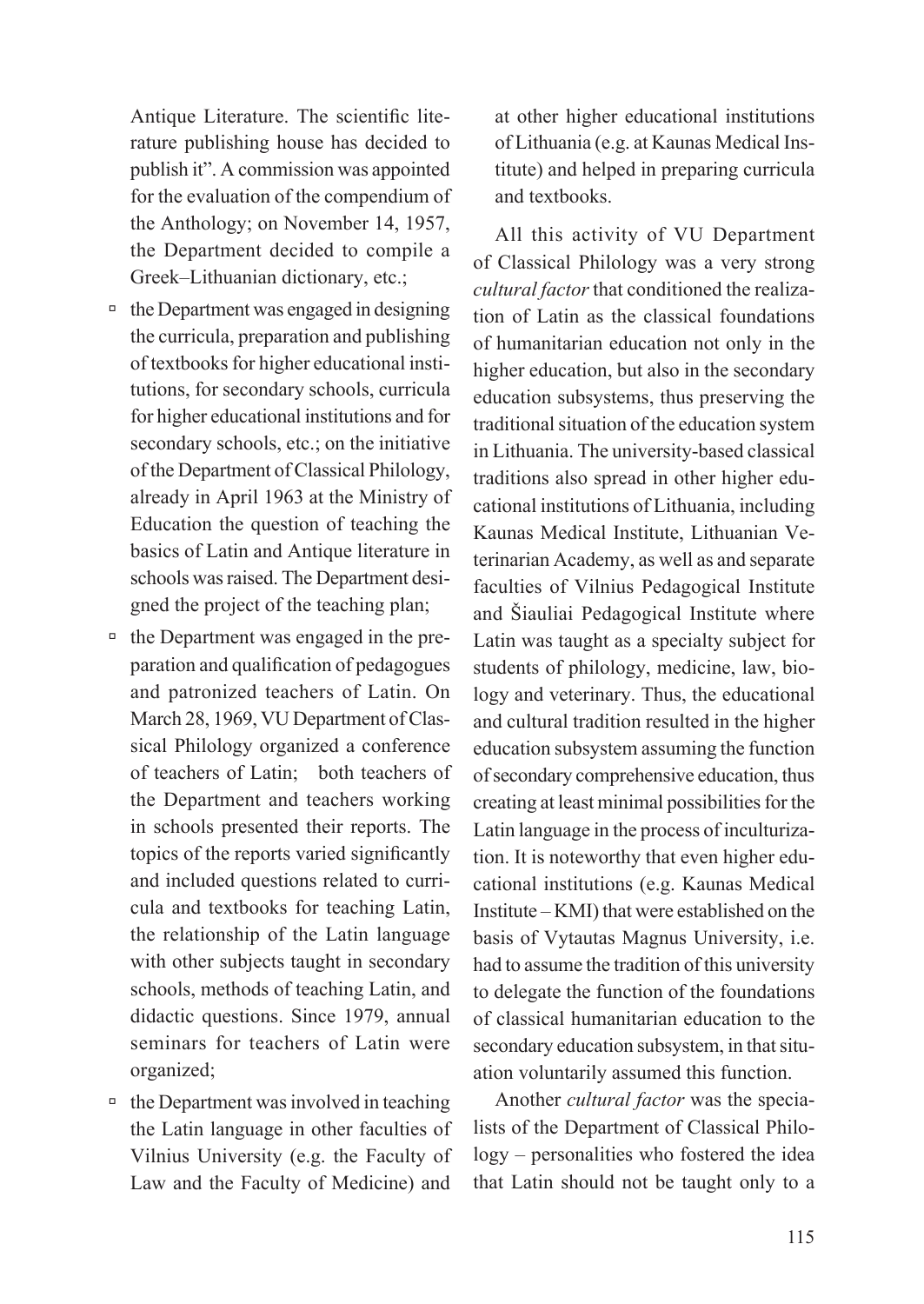Antique Literature. The scientific literature publishing house has decided to publish it". A commission was appointed for the evaluation of the compendium of the Anthology; on November 14, 1957, the Department decided to compile a Greek–Lithuanian dictionary, etc.;

- $\Box$  the Department was engaged in designing the curricula, preparation and publishing of textbooks for higher educational institutions, for secondary schools, curricula for higher educational institutions and for secondary schools, etc.; on the initiative of the Department of Classical Philology, already in April 1963 at the Ministry of Education the question of teaching the basics of Latin and Antique literature in schools was raised. The Department designed the project of the teaching plan;
- $\overline{\phantom{a}}$  the Department was engaged in the preparation and qualification of pedagogues and patronized teachers of Latin. On March 28, 1969, VU Department of Classical Philology organized a conference of teachers of Latin; both teachers of the Department and teachers working in schools presented their reports. The topics of the reports varied significantly and included questions related to curricula and textbooks for teaching Latin, the relationship of the Latin language with other subjects taught in secondary schools, methods of teaching Latin, and didactic questions. Since 1979, annual seminars for teachers of Latin were organized;
- $\Box$  the Department was involved in teaching the Latin language in other faculties of Vilnius University (e.g. the Faculty of Law and the Faculty of Medicine) and

at other higher educational institutions of Lithuania (e.g. at Kaunas Medical Institute) and helped in preparing curricula and textbooks.

All this activity of VU Department of Classical Philology was a very strong *cultural factor* that conditioned the realization of Latin as the classical foundations of humanitarian education not only in the higher education, but also in the secondary education subsystems, thus preserving the traditional situation of the education system in Lithuania. The university-based classical traditions also spread in other higher educational institutions of Lithuania, including Kaunas Medical Institute, Lithuanian Veterinarian Academy, as well as and separate faculties of Vilnius Pedagogical Institute and Šiauliai Pedagogical Institute where Latin was taught as a specialty subject for students of philology, medicine, law, biology and veterinary. Thus, the educational and cultural tradition resulted in the higher education subsystem assuming the function of secondary comprehensive education, thus creating at least minimal possibilities for the Latin language in the process of inculturization. It is noteworthy that even higher educational institutions (e.g. Kaunas Medical Institute – KMI) that were established on the basis of Vytautas Magnus University, i.e. had to assume the tradition of this university to delegate the function of the foundations of classical humanitarian education to the secondary education subsystem, in that situation voluntarily assumed this function.

Another *cultural factor* was the specialists of the Department of Classical Philology – personalities who fostered the idea that Latin should not be taught only to a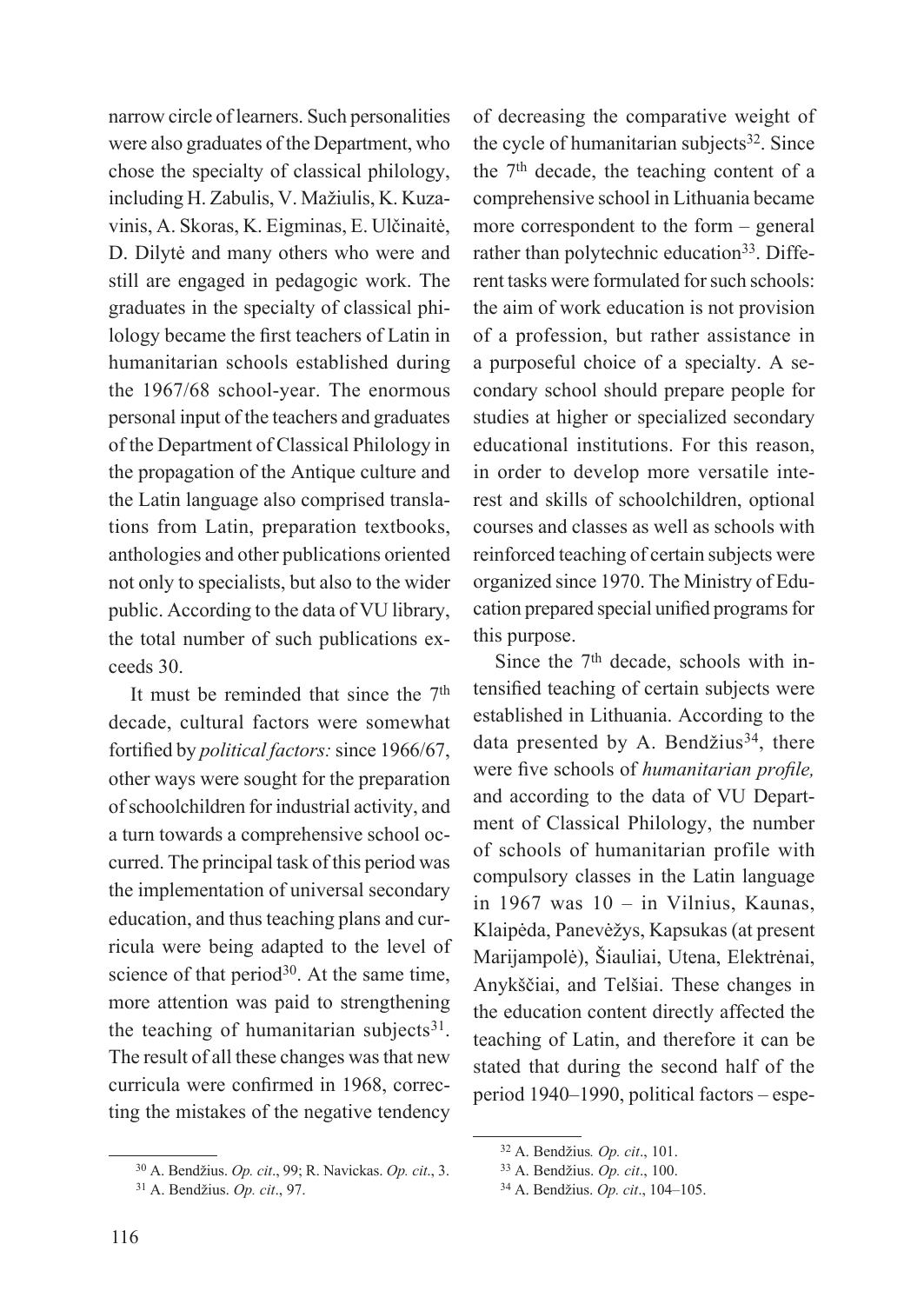narrow circle of learners. Such personalities were also graduates of the Department, who chose the specialty of classical philology, including H. Zabulis, V. Mažiulis, K. Kuzavinis, A. Skoras, K. Eigminas, E. Ulčinaitė, D. Dilytė and many others who were and still are engaged in pedagogic work. The graduates in the specialty of classical philology became the first teachers of Latin in humanitarian schools established during the 1967/68 school-year. The enormous personal input of the teachers and graduates of the Department of Classical Philology in the propagation of the Antique culture and the Latin language also comprised translations from Latin, preparation textbooks, anthologies and other publications oriented not only to specialists, but also to the wider public. According to the data of VU library, the total number of such publications exceeds 30.

It must be reminded that since the  $7<sup>th</sup>$ decade, cultural factors were somewhat fortified by *political factors:* since 1966/67, other ways were sought for the preparation of schoolchildren for industrial activity, and a turn towards a comprehensive school occurred. The principal task of this period was the implementation of universal secondary education, and thus teaching plans and curricula were being adapted to the level of science of that period<sup>30</sup>. At the same time, more attention was paid to strengthening the teaching of humanitarian subjects $31$ . The result of all these changes was that new curricula were confirmed in 1968, correcting the mistakes of the negative tendency

of decreasing the comparative weight of the cycle of humanitarian subjects<sup>32</sup>. Since the 7th decade, the teaching content of a comprehensive school in Lithuania became more correspondent to the form – general rather than polytechnic education<sup>33</sup>. Different tasks were formulated for such schools: the aim of work education is not provision of a profession, but rather assistance in a purposeful choice of a specialty. A secondary school should prepare people for studies at higher or specialized secondary educational institutions. For this reason, in order to develop more versatile interest and skills of schoolchildren, optional courses and classes as well as schools with reinforced teaching of certain subjects were organized since 1970. The Ministry of Education prepared special unified programs for this purpose.

Since the 7<sup>th</sup> decade, schools with intensified teaching of certain subjects were established in Lithuania. According to the data presented by A. Bendžius $34$ , there were five schools of *humanitarian profile,*  and according to the data of VU Department of Classical Philology, the number of schools of humanitarian profile with compulsory classes in the Latin language in 1967 was 10 – in Vilnius, Kaunas, Klaipėda, Panevėžys, Kapsukas (at present Marijampolė), Šiauliai, Utena, Elektrėnai, Anykščiai, and Telšiai. These changes in the education content directly affected the teaching of Latin, and therefore it can be stated that during the second half of the period 1940–1990, political factors – espe-

<sup>30</sup> A. Bendžius. *Op. cit*., 99; R. Navickas. *Op. cit*., 3.

<sup>31</sup> A. Bendžius. *Op. cit*., 97.

<sup>32</sup> A. Bendžius*. Op. cit*., 101.

<sup>33</sup> A. Bendžius. *Op. cit*., 100.

<sup>34</sup> A. Bendžius. *Op. cit*., 104–105.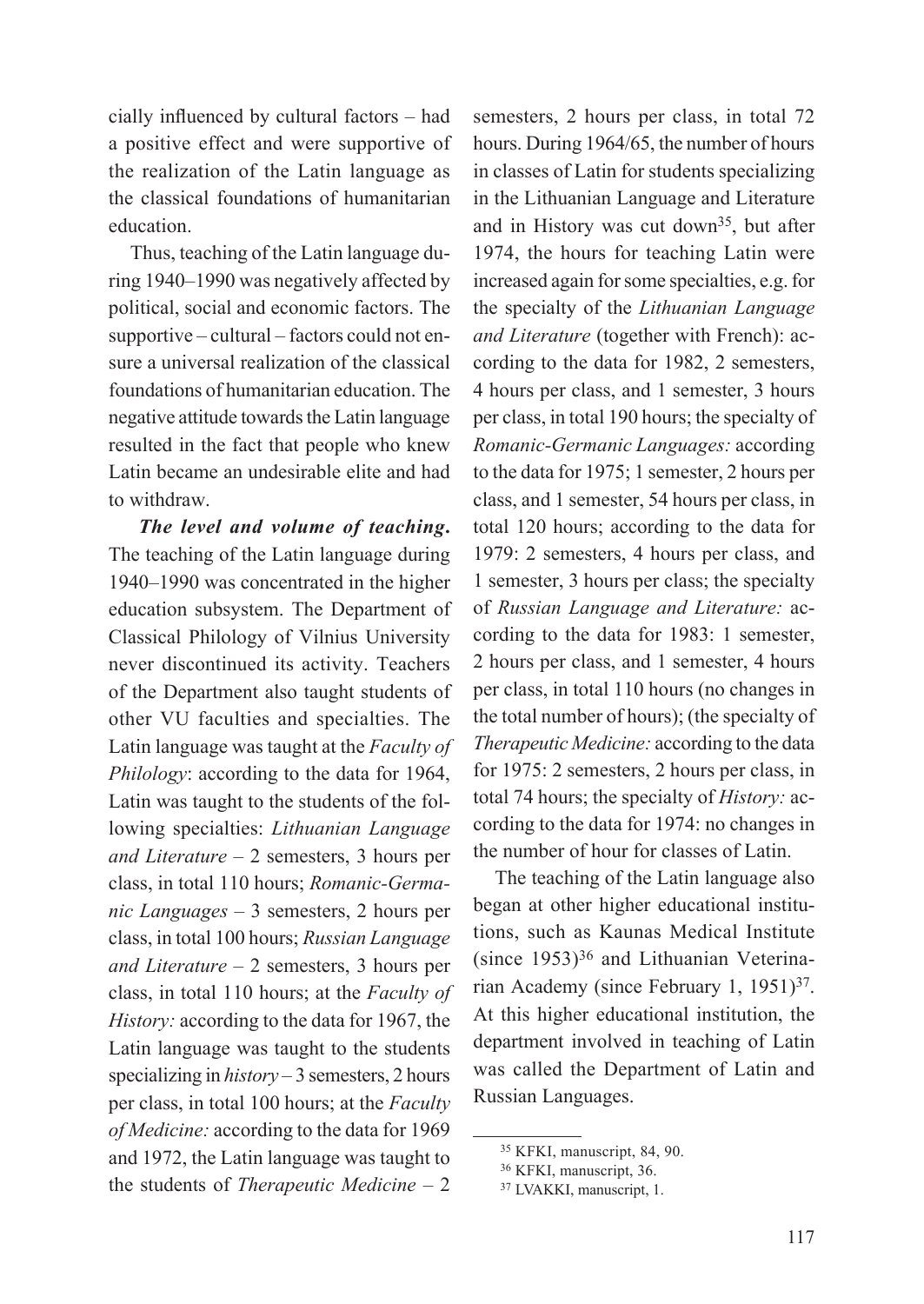cially influenced by cultural factors – had a positive effect and were supportive of the realization of the Latin language as the classical foundations of humanitarian education.

Thus, teaching of the Latin language during 1940–1990 was negatively affected by political, social and economic factors. The supportive – cultural – factors could not ensure a universal realization of the classical foundations of humanitarian education. The negative attitude towards the Latin language resulted in the fact that people who knew Latin became an undesirable elite and had to withdraw.

*The level and volume of teaching***.**  The teaching of the Latin language during 1940–1990 was concentrated in the higher education subsystem. The Department of Classical Philology of Vilnius University never discontinued its activity. Teachers of the Department also taught students of other VU faculties and specialties. The Latin language was taught at the *Faculty of Philology*: according to the data for 1964, Latin was taught to the students of the following specialties: *Lithuanian Language and Literature –* 2 semesters, 3 hours per class, in total 110 hours; *Romanic-Germanic Languages –* 3 semesters, 2 hours per class, in total 100 hours; *Russian Language and Literature –* 2 semesters, 3 hours per class, in total 110 hours; at the *Faculty of History:* according to the data for 1967, the Latin language was taught to the students specializing in *history –* 3 semesters, 2 hours per class, in total 100 hours; at the *Faculty of Medicine:* according to the data for 1969 and 1972, the Latin language was taught to the students of *Therapeutic Medicine –* 2

semesters, 2 hours per class, in total 72 hours. During 1964/65, the number of hours in classes of Latin for students specializing in the Lithuanian Language and Literature and in History was cut down35, but after 1974, the hours for teaching Latin were increased again for some specialties, e.g. for the specialty of the *Lithuanian Language and Literature* (together with French): according to the data for 1982, 2 semesters, 4 hours per class, and 1 semester, 3 hours per class, in total 190 hours; the specialty of *Romanic-Germanic Languages:* according to the data for 1975; 1 semester, 2 hours per class, and 1 semester, 54 hours per class, in total 120 hours; according to the data for 1979: 2 semesters, 4 hours per class, and 1 semester, 3 hours per class; the specialty of *Russian Language and Literature:* according to the data for 1983: 1 semester, 2 hours per class, and 1 semester, 4 hours per class, in total 110 hours (no changes in the total number of hours); (the specialty of *Therapeutic Medicine:* according to the data for 1975: 2 semesters, 2 hours per class, in total 74 hours; the specialty of *History:* according to the data for 1974: no changes in the number of hour for classes of Latin.

The teaching of the Latin language also began at other higher educational institutions, such as Kaunas Medical Institute (since 1953)36 and Lithuanian Veterinarian Academy (since February 1, 1951)37. At this higher educational institution, the department involved in teaching of Latin was called the Department of Latin and Russian Languages.

<sup>35</sup> KFKI, manuscript, 84, 90.

<sup>36</sup> KFKI, manuscript, 36.

<sup>37</sup> LVAKKI, manuscript, 1.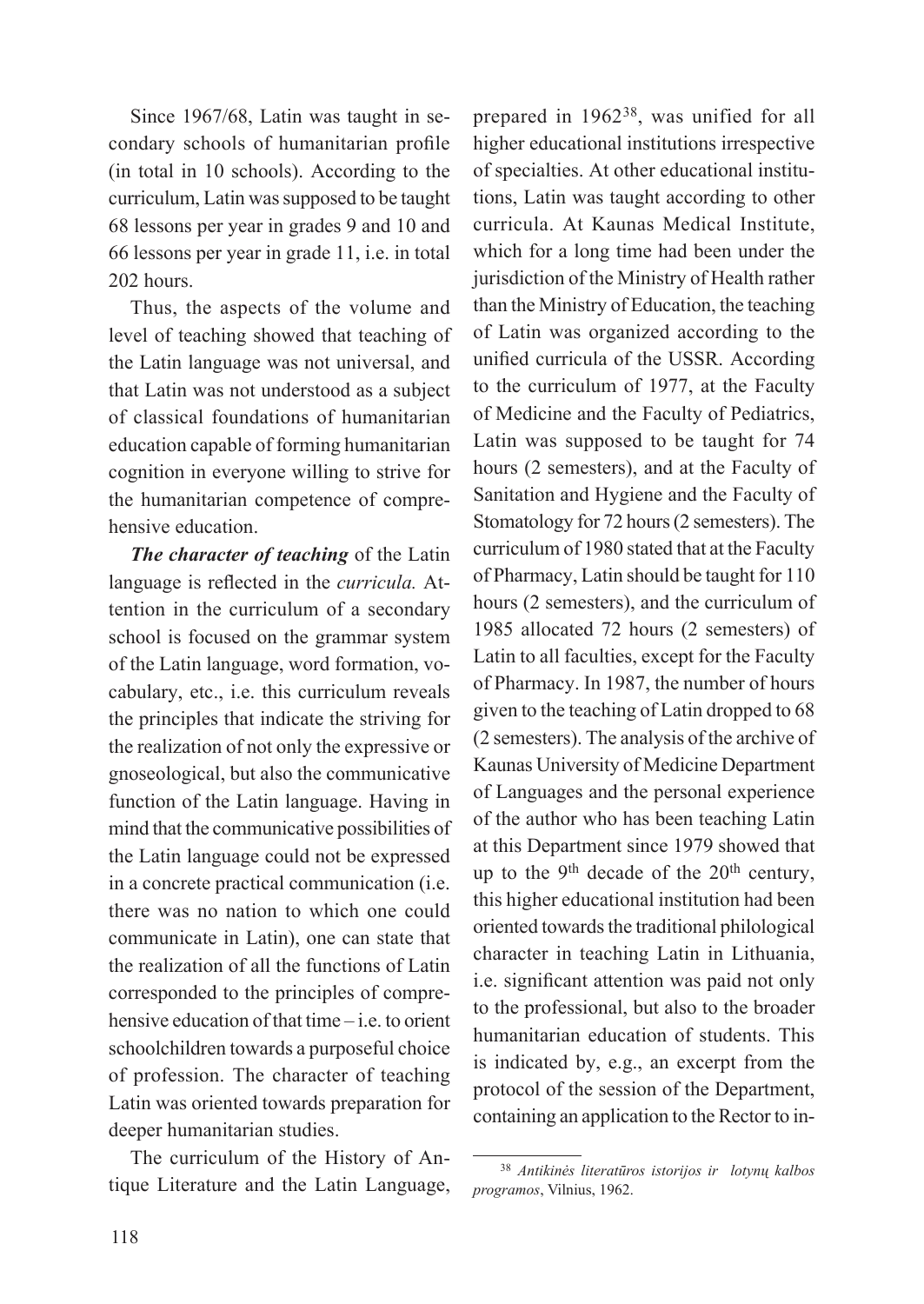Since 1967/68, Latin was taught in secondary schools of humanitarian profile (in total in 10 schools). According to the curriculum, Latin was supposed to be taught 68 lessons per year in grades 9 and 10 and 66 lessons per year in grade 11, i.e. in total 202 hours.

Thus, the aspects of the volume and level of teaching showed that teaching of the Latin language was not universal, and that Latin was not understood as a subject of classical foundations of humanitarian education capable of forming humanitarian cognition in everyone willing to strive for the humanitarian competence of comprehensive education.

*The character of teaching* of the Latin language is reflected in the *curricula.* Attention in the curriculum of a secondary school is focused on the grammar system of the Latin language, word formation, vocabulary, etc., i.e. this curriculum reveals the principles that indicate the striving for the realization of not only the expressive or gnoseological, but also the communicative function of the Latin language. Having in mind that the communicative possibilities of the Latin language could not be expressed in a concrete practical communication (i.e. there was no nation to which one could communicate in Latin), one can state that the realization of all the functions of Latin corresponded to the principles of comprehensive education of that time – i.e. to orient schoolchildren towards a purposeful choice of profession. The character of teaching Latin was oriented towards preparation for deeper humanitarian studies.

The curriculum of the History of Antique Literature and the Latin Language,

prepared in 196238, was unified for all higher educational institutions irrespective of specialties. At other educational institutions, Latin was taught according to other curricula. At Kaunas Medical Institute, which for a long time had been under the jurisdiction of the Ministry of Health rather than the Ministry of Education, the teaching of Latin was organized according to the unified curricula of the USSR. According to the curriculum of 1977, at the Faculty of Medicine and the Faculty of Pediatrics, Latin was supposed to be taught for 74 hours (2 semesters), and at the Faculty of Sanitation and Hygiene and the Faculty of Stomatology for 72 hours (2 semesters). The curriculum of 1980 stated that at the Faculty of Pharmacy, Latin should be taught for 110 hours (2 semesters), and the curriculum of 1985 allocated 72 hours (2 semesters) of Latin to all faculties, except for the Faculty of Pharmacy. In 1987, the number of hours given to the teaching of Latin dropped to 68 (2 semesters). The analysis of the archive of Kaunas University of Medicine Department of Languages and the personal experience of the author who has been teaching Latin at this Department since 1979 showed that up to the 9<sup>th</sup> decade of the  $20<sup>th</sup>$  century, this higher educational institution had been oriented towards the traditional philological character in teaching Latin in Lithuania, i.e. significant attention was paid not only to the professional, but also to the broader humanitarian education of students. This is indicated by, e.g., an excerpt from the protocol of the session of the Department, containing an application to the Rector to in-

<sup>38</sup> *Antikinės literatūros istorijos ir lotynų kalbos programos*, Vilnius, 1962.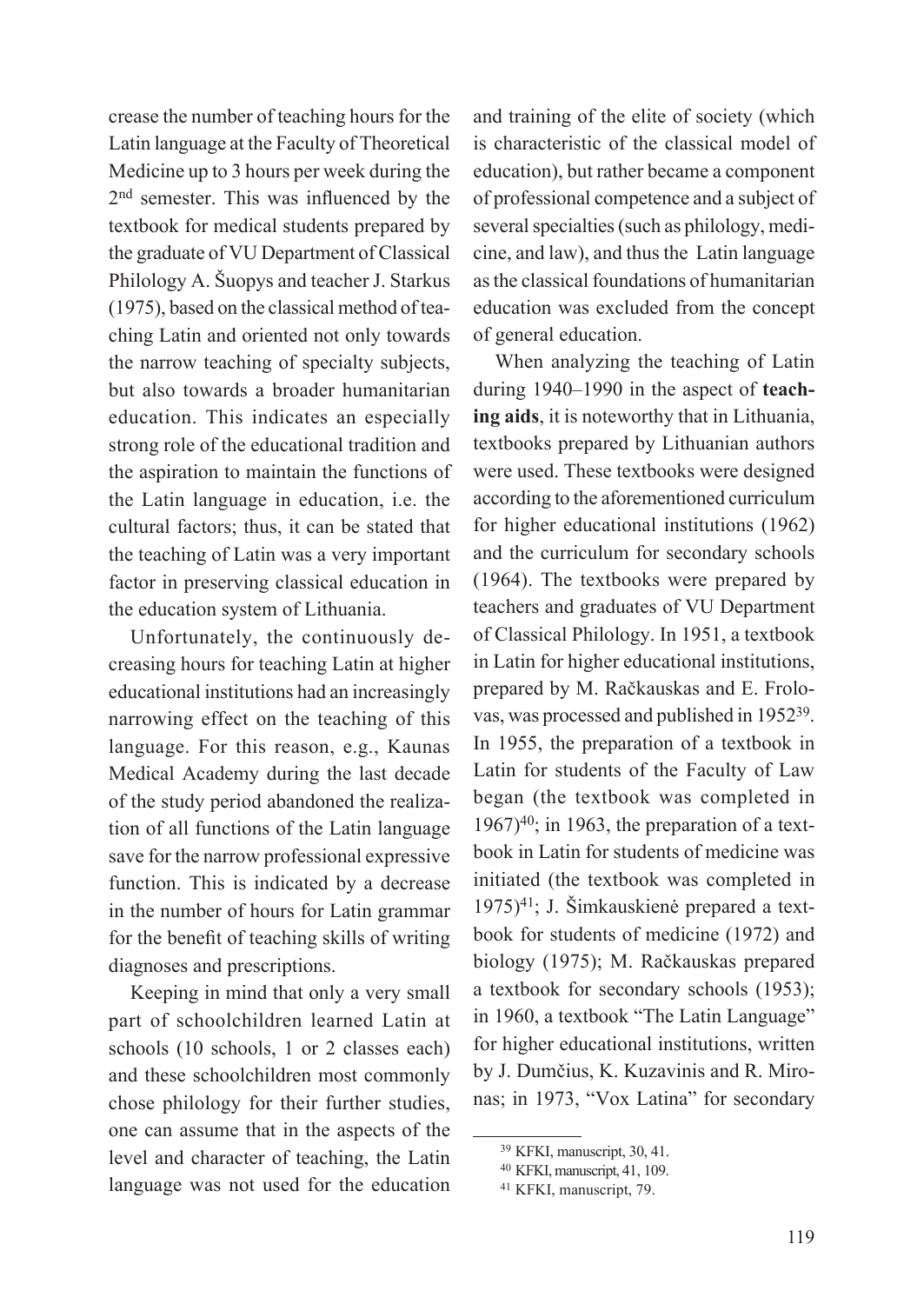crease the number of teaching hours for the Latin language at the Faculty of Theoretical Medicine up to 3 hours per week during the 2nd semester. This was influenced by the textbook for medical students prepared by the graduate of VU Department of Classical Philology A. Šuopys and teacher J. Starkus (1975), based on the classical method of teaching Latin and oriented not only towards the narrow teaching of specialty subjects, but also towards a broader humanitarian education. This indicates an especially strong role of the educational tradition and the aspiration to maintain the functions of the Latin language in education, i.e. the cultural factors; thus, it can be stated that the teaching of Latin was a very important factor in preserving classical education in the education system of Lithuania.

Unfortunately, the continuously decreasing hours for teaching Latin at higher educational institutions had an increasingly narrowing effect on the teaching of this language. For this reason, e.g., Kaunas Medical Academy during the last decade of the study period abandoned the realization of all functions of the Latin language save for the narrow professional expressive function. This is indicated by a decrease in the number of hours for Latin grammar for the benefit of teaching skills of writing diagnoses and prescriptions.

Keeping in mind that only a very small part of schoolchildren learned Latin at schools (10 schools, 1 or 2 classes each) and these schoolchildren most commonly chose philology for their further studies, one can assume that in the aspects of the level and character of teaching, the Latin language was not used for the education and training of the elite of society (which is characteristic of the classical model of education), but rather became a component of professional competence and a subject of several specialties (such as philology, medicine, and law), and thus the Latin language as the classical foundations of humanitarian education was excluded from the concept of general education.

When analyzing the teaching of Latin during 1940–1990 in the aspect of **teaching aids**, it is noteworthy that in Lithuania, textbooks prepared by Lithuanian authors were used. These textbooks were designed according to the aforementioned curriculum for higher educational institutions (1962) and the curriculum for secondary schools (1964). The textbooks were prepared by teachers and graduates of VU Department of Classical Philology. In 1951, a textbook in Latin for higher educational institutions, prepared by M. Račkauskas and E. Frolovas, was processed and published in 195239. In 1955, the preparation of a textbook in Latin for students of the Faculty of Law began (the textbook was completed in  $1967$ <sup>40</sup>; in 1963, the preparation of a textbook in Latin for students of medicine was initiated (the textbook was completed in  $1975$ <sup>41</sup>; J. Šimkauskienė prepared a textbook for students of medicine (1972) and biology (1975); M. Račkauskas prepared a textbook for secondary schools (1953); in 1960, a textbook "The Latin Language" for higher educational institutions, written by J. Dumčius, K. Kuzavinis and R. Mironas; in 1973, "Vox Latina" for secondary

<sup>39</sup> KFKI, manuscript, 30, 41.

<sup>40</sup> KFKI, manuscript, 41, 109.

<sup>41</sup> KFKI, manuscript, 79.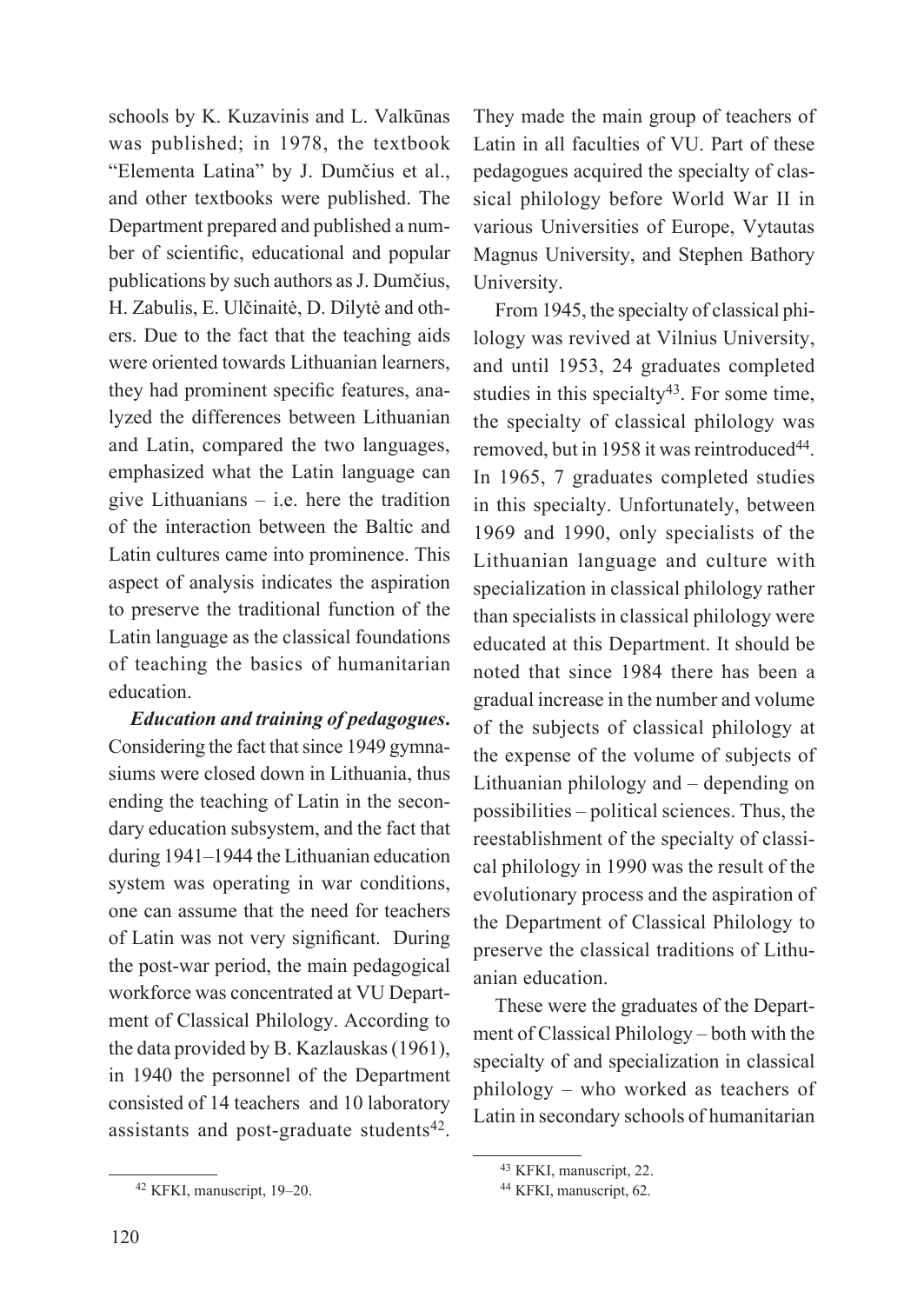schools by K. Kuzavinis and L. Valkūnas was published; in 1978, the textbook "Elementa Latina" by J. Dumčius et al., and other textbooks were published. The Department prepared and published a number of scientific, educational and popular publications by such authors as J. Dumčius, H. Zabulis, E. Ulčinaitė, D. Dilytė and others. Due to the fact that the teaching aids were oriented towards Lithuanian learners, they had prominent specific features, analyzed the differences between Lithuanian and Latin, compared the two languages, emphasized what the Latin language can give Lithuanians – i.e. here the tradition of the interaction between the Baltic and Latin cultures came into prominence. This aspect of analysis indicates the aspiration to preserve the traditional function of the Latin language as the classical foundations of teaching the basics of humanitarian education.

*Education and training of pedagogues***.**  Considering the fact that since 1949 gymnasiums were closed down in Lithuania, thus ending the teaching of Latin in the secondary education subsystem, and the fact that during 1941–1944 the Lithuanian education system was operating in war conditions, one can assume that the need for teachers of Latin was not very significant. During the post-war period, the main pedagogical workforce was concentrated at VU Department of Classical Philology. According to the data provided by B. Kazlauskas (1961), in 1940 the personnel of the Department consisted of 14 teachers and 10 laboratory assistants and post-graduate students<sup>42</sup>.

They made the main group of teachers of Latin in all faculties of VU. Part of these pedagogues acquired the specialty of classical philology before World War II in various Universities of Europe, Vytautas Magnus University, and Stephen Bathory University.

From 1945, the specialty of classical philology was revived at Vilnius University, and until 1953, 24 graduates completed studies in this specialty<sup>43</sup>. For some time, the specialty of classical philology was removed, but in 1958 it was reintroduced<sup>44</sup>. In 1965, 7 graduates completed studies in this specialty. Unfortunately, between 1969 and 1990, only specialists of the Lithuanian language and culture with specialization in classical philology rather than specialists in classical philology were educated at this Department. It should be noted that since 1984 there has been a gradual increase in the number and volume of the subjects of classical philology at the expense of the volume of subjects of Lithuanian philology and – depending on possibilities – political sciences. Thus, the reestablishment of the specialty of classical philology in 1990 was the result of the evolutionary process and the aspiration of the Department of Classical Philology to preserve the classical traditions of Lithuanian education.

These were the graduates of the Department of Classical Philology – both with the specialty of and specialization in classical philology – who worked as teachers of Latin in secondary schools of humanitarian

<sup>42</sup> KFKI, manuscript, 19–20.

<sup>43</sup> KFKI, manuscript, 22.

<sup>44</sup> KFKI, manuscript, 62.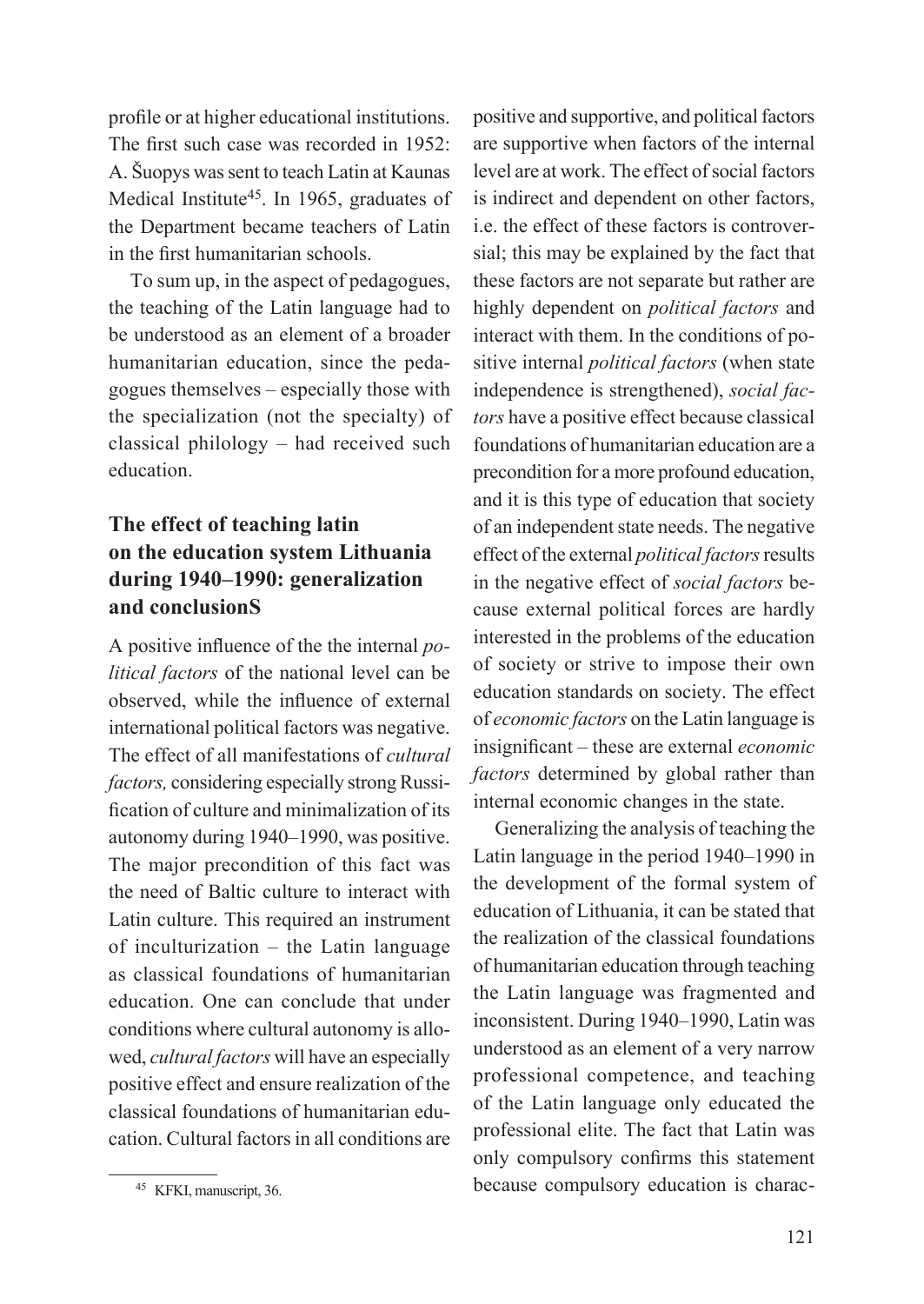profile or at higher educational institutions. The first such case was recorded in 1952: A. Šuopys was sent to teach Latin at Kaunas Medical Institute<sup>45</sup>. In 1965, graduates of the Department became teachers of Latin in the first humanitarian schools.

To sum up, in the aspect of pedagogues, the teaching of the Latin language had to be understood as an element of a broader humanitarian education, since the pedagogues themselves – especially those with the specialization (not the specialty) of classical philology – had received such education.

# **The effect of teaching latin on the education system Lithuania during 1940–1990: generalization and conclusionS**

A positive influence of the the internal *political factors* of the national level can be observed, while the influence of external international political factors was negative. The effect of all manifestations of *cultural factors,* considering especially strong Russification of culture and minimalization of its autonomy during 1940–1990, was positive. The major precondition of this fact was the need of Baltic culture to interact with Latin culture. This required an instrument of inculturization – the Latin language as classical foundations of humanitarian education. One can conclude that under conditions where cultural autonomy is allowed, *cultural factors* will have an especially positive effect and ensure realization of the classical foundations of humanitarian education. Cultural factors in all conditions are

positive and supportive, and political factors are supportive when factors of the internal level are at work. The effect of social factors is indirect and dependent on other factors, i.e. the effect of these factors is controversial; this may be explained by the fact that these factors are not separate but rather are highly dependent on *political factors* and interact with them. In the conditions of positive internal *political factors* (when state independence is strengthened), *social factors* have a positive effect because classical foundations of humanitarian education are a precondition for a more profound education, and it is this type of education that society of an independent state needs. The negative effect of the external *political factors* results in the negative effect of *social factors* because external political forces are hardly interested in the problems of the education of society or strive to impose their own education standards on society. The effect of *economic factors* on the Latin language is insignificant – these are external *economic factors* determined by global rather than internal economic changes in the state.

Generalizing the analysis of teaching the Latin language in the period 1940–1990 in the development of the formal system of education of Lithuania, it can be stated that the realization of the classical foundations of humanitarian education through teaching the Latin language was fragmented and inconsistent. During 1940–1990, Latin was understood as an element of a very narrow professional competence, and teaching of the Latin language only educated the professional elite. The fact that Latin was only compulsory confirms this statement because compulsory education is charac-

<sup>45</sup> KFKI, manuscript, 36.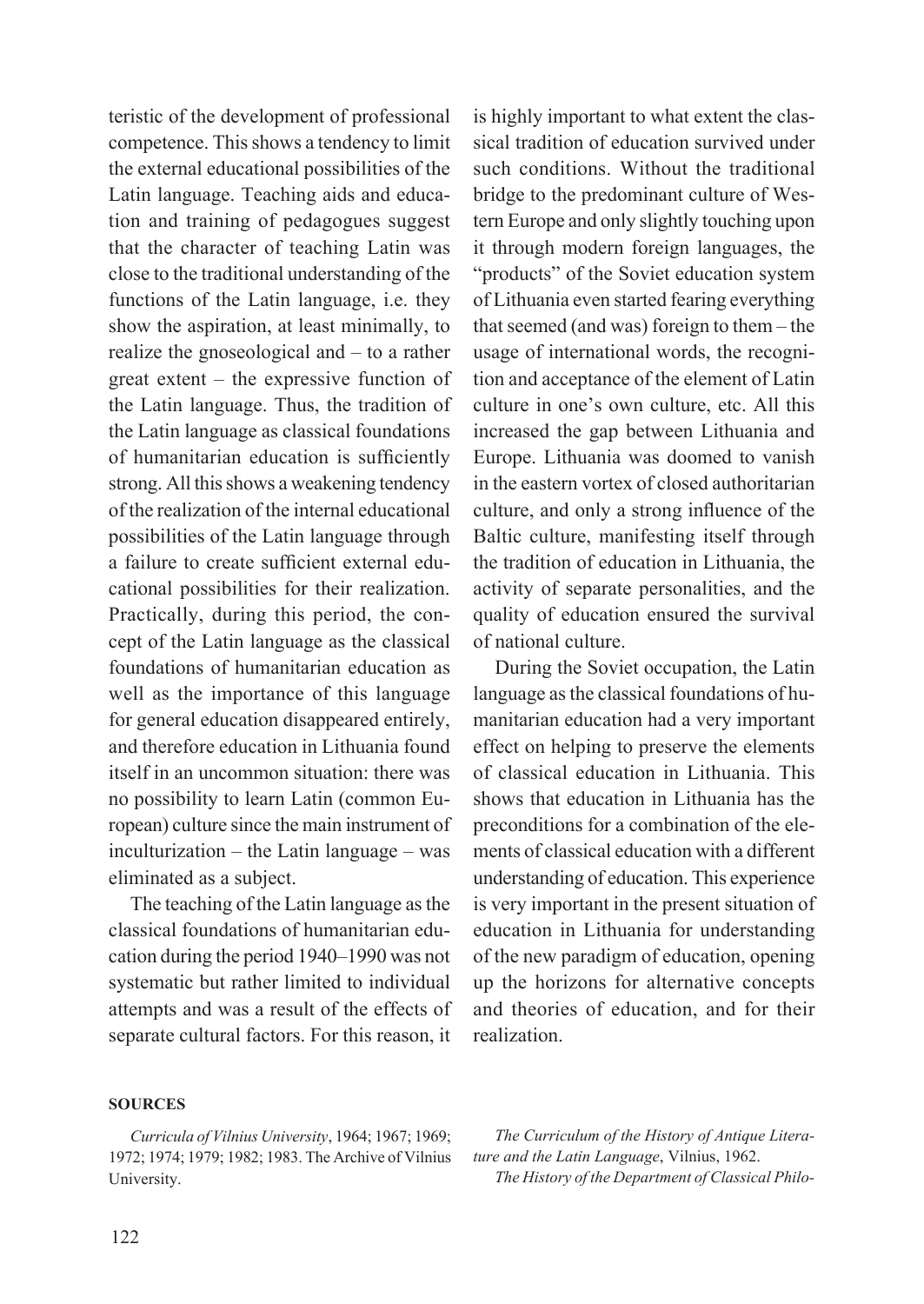cational possibilities for their realization. Practically, during this period, the consystematic but rather limited to individual attempts and was a result of the effects of separate cultural factors. For this reason, it

for general education disappeared entirely, and therefore education in Lithuania found itself in an uncommon situation: there was no possibility to learn Latin (common European) culture since the main instrument of inculturization – the Latin language – was eliminated as a subject. The teaching of the Latin language as the classical foundations of humanitarian education during the period 1940–1990 was not

teristic of the development of professional competence. This shows a tendency to limit the external educational possibilities of the Latin language. Teaching aids and education and training of pedagogues suggest that the character of teaching Latin was close to the traditional understanding of the functions of the Latin language, i.e. they show the aspiration, at least minimally, to realize the gnoseological and – to a rather great extent – the expressive function of the Latin language. Thus, the tradition of the Latin language as classical foundations of humanitarian education is sufficiently strong. All this shows a weakening tendency of the realization of the internal educational possibilities of the Latin language through a failure to create sufficient external edu-

cept of the Latin language as the classical foundations of humanitarian education as well as the importance of this language

is highly important to what extent the classical tradition of education survived under such conditions. Without the traditional bridge to the predominant culture of Western Europe and only slightly touching upon it through modern foreign languages, the "products" of the Soviet education system of Lithuania even started fearing everything that seemed (and was) foreign to them – the usage of international words, the recognition and acceptance of the element of Latin culture in one's own culture, etc. All this increased the gap between Lithuania and Europe. Lithuania was doomed to vanish in the eastern vortex of closed authoritarian culture, and only a strong influence of the Baltic culture, manifesting itself through the tradition of education in Lithuania, the activity of separate personalities, and the quality of education ensured the survival of national culture.

During the Soviet occupation, the Latin language as the classical foundations of humanitarian education had a very important effect on helping to preserve the elements of classical education in Lithuania. This shows that education in Lithuania has the preconditions for a combination of the elements of classical education with a different understanding of education. This experience is very important in the present situation of education in Lithuania for understanding of the new paradigm of education, opening up the horizons for alternative concepts and theories of education, and for their realization.

### **Sources**

*Curricula of Vilnius University*, 1964; 1967; 1969; 1972; 1974; 1979; 1982; 1983. The Archive of Vilnius University.

*The Curriculum of the History of Antique Literature and the Latin Language*, Vilnius, 1962. *The History of the Department of Classical Philo*